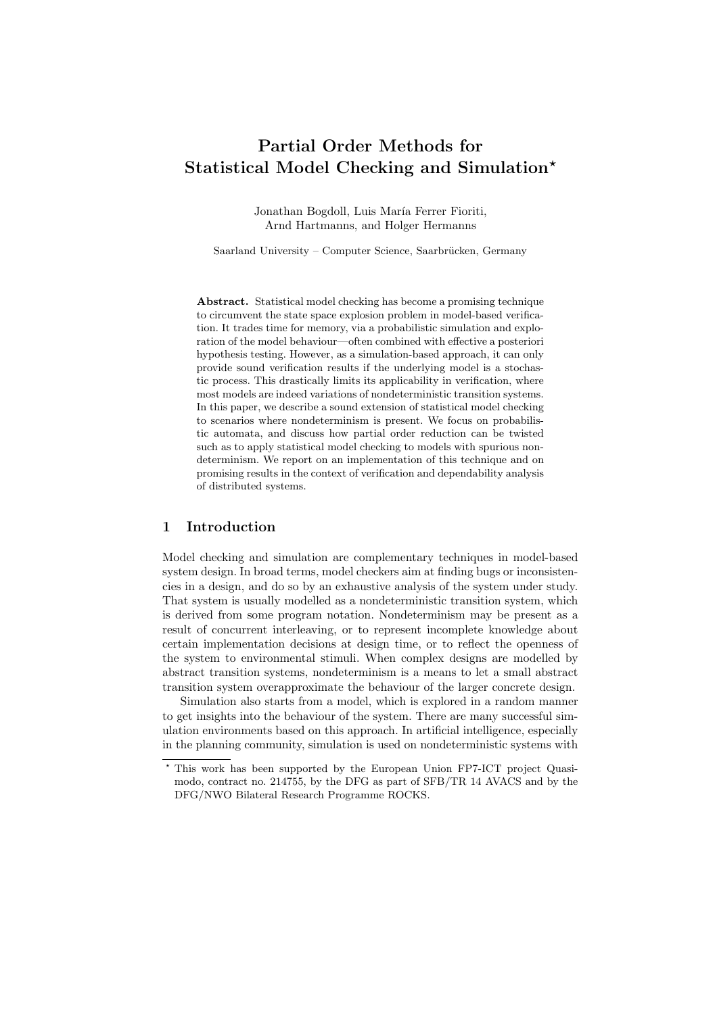# Partial Order Methods for Statistical Model Checking and Simulation?

Jonathan Bogdoll, Luis María Ferrer Fioriti, Arnd Hartmanns, and Holger Hermanns

Saarland University – Computer Science, Saarbrücken, Germany

Abstract. Statistical model checking has become a promising technique to circumvent the state space explosion problem in model-based verification. It trades time for memory, via a probabilistic simulation and exploration of the model behaviour—often combined with effective a posteriori hypothesis testing. However, as a simulation-based approach, it can only provide sound verification results if the underlying model is a stochastic process. This drastically limits its applicability in verification, where most models are indeed variations of nondeterministic transition systems. In this paper, we describe a sound extension of statistical model checking to scenarios where nondeterminism is present. We focus on probabilistic automata, and discuss how partial order reduction can be twisted such as to apply statistical model checking to models with spurious nondeterminism. We report on an implementation of this technique and on promising results in the context of verification and dependability analysis of distributed systems.

# 1 Introduction

Model checking and simulation are complementary techniques in model-based system design. In broad terms, model checkers aim at finding bugs or inconsistencies in a design, and do so by an exhaustive analysis of the system under study. That system is usually modelled as a nondeterministic transition system, which is derived from some program notation. Nondeterminism may be present as a result of concurrent interleaving, or to represent incomplete knowledge about certain implementation decisions at design time, or to reflect the openness of the system to environmental stimuli. When complex designs are modelled by abstract transition systems, nondeterminism is a means to let a small abstract transition system overapproximate the behaviour of the larger concrete design.

Simulation also starts from a model, which is explored in a random manner to get insights into the behaviour of the system. There are many successful simulation environments based on this approach. In artificial intelligence, especially in the planning community, simulation is used on nondeterministic systems with

<sup>?</sup> This work has been supported by the European Union FP7-ICT project Quasimodo, contract no. 214755, by the DFG as part of SFB/TR 14 AVACS and by the DFG/NWO Bilateral Research Programme ROCKS.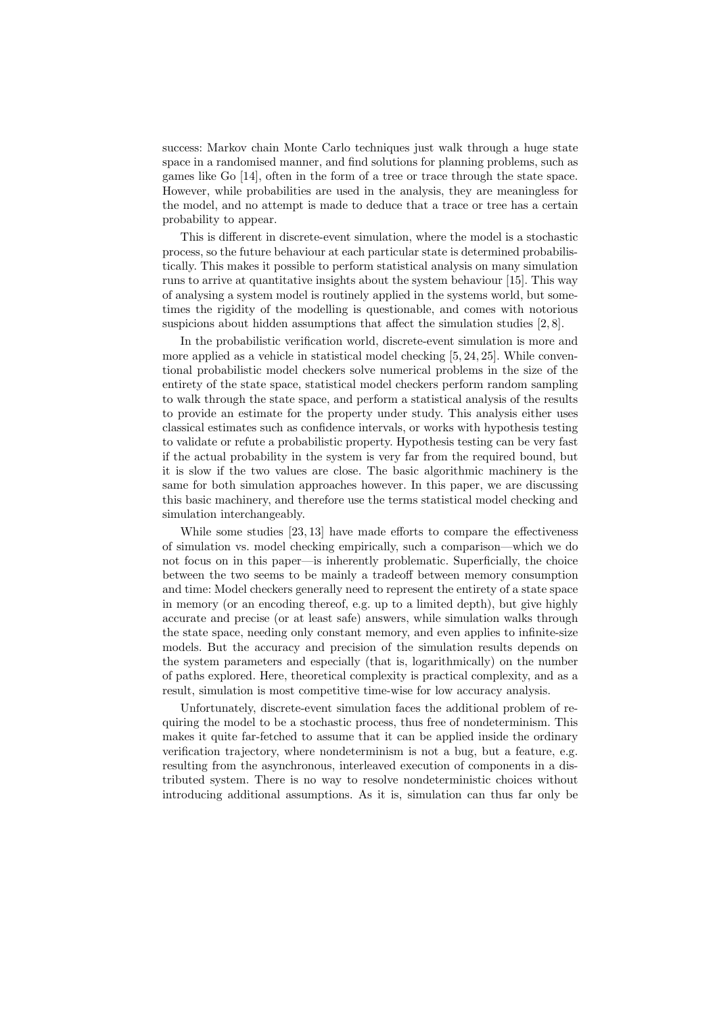success: Markov chain Monte Carlo techniques just walk through a huge state space in a randomised manner, and find solutions for planning problems, such as games like Go [14], often in the form of a tree or trace through the state space. However, while probabilities are used in the analysis, they are meaningless for the model, and no attempt is made to deduce that a trace or tree has a certain probability to appear.

This is different in discrete-event simulation, where the model is a stochastic process, so the future behaviour at each particular state is determined probabilistically. This makes it possible to perform statistical analysis on many simulation runs to arrive at quantitative insights about the system behaviour [15]. This way of analysing a system model is routinely applied in the systems world, but sometimes the rigidity of the modelling is questionable, and comes with notorious suspicions about hidden assumptions that affect the simulation studies [2, 8].

In the probabilistic verification world, discrete-event simulation is more and more applied as a vehicle in statistical model checking [5, 24, 25]. While conventional probabilistic model checkers solve numerical problems in the size of the entirety of the state space, statistical model checkers perform random sampling to walk through the state space, and perform a statistical analysis of the results to provide an estimate for the property under study. This analysis either uses classical estimates such as confidence intervals, or works with hypothesis testing to validate or refute a probabilistic property. Hypothesis testing can be very fast if the actual probability in the system is very far from the required bound, but it is slow if the two values are close. The basic algorithmic machinery is the same for both simulation approaches however. In this paper, we are discussing this basic machinery, and therefore use the terms statistical model checking and simulation interchangeably.

While some studies [23, 13] have made efforts to compare the effectiveness of simulation vs. model checking empirically, such a comparison—which we do not focus on in this paper—is inherently problematic. Superficially, the choice between the two seems to be mainly a tradeoff between memory consumption and time: Model checkers generally need to represent the entirety of a state space in memory (or an encoding thereof, e.g. up to a limited depth), but give highly accurate and precise (or at least safe) answers, while simulation walks through the state space, needing only constant memory, and even applies to infinite-size models. But the accuracy and precision of the simulation results depends on the system parameters and especially (that is, logarithmically) on the number of paths explored. Here, theoretical complexity is practical complexity, and as a result, simulation is most competitive time-wise for low accuracy analysis.

Unfortunately, discrete-event simulation faces the additional problem of requiring the model to be a stochastic process, thus free of nondeterminism. This makes it quite far-fetched to assume that it can be applied inside the ordinary verification trajectory, where nondeterminism is not a bug, but a feature, e.g. resulting from the asynchronous, interleaved execution of components in a distributed system. There is no way to resolve nondeterministic choices without introducing additional assumptions. As it is, simulation can thus far only be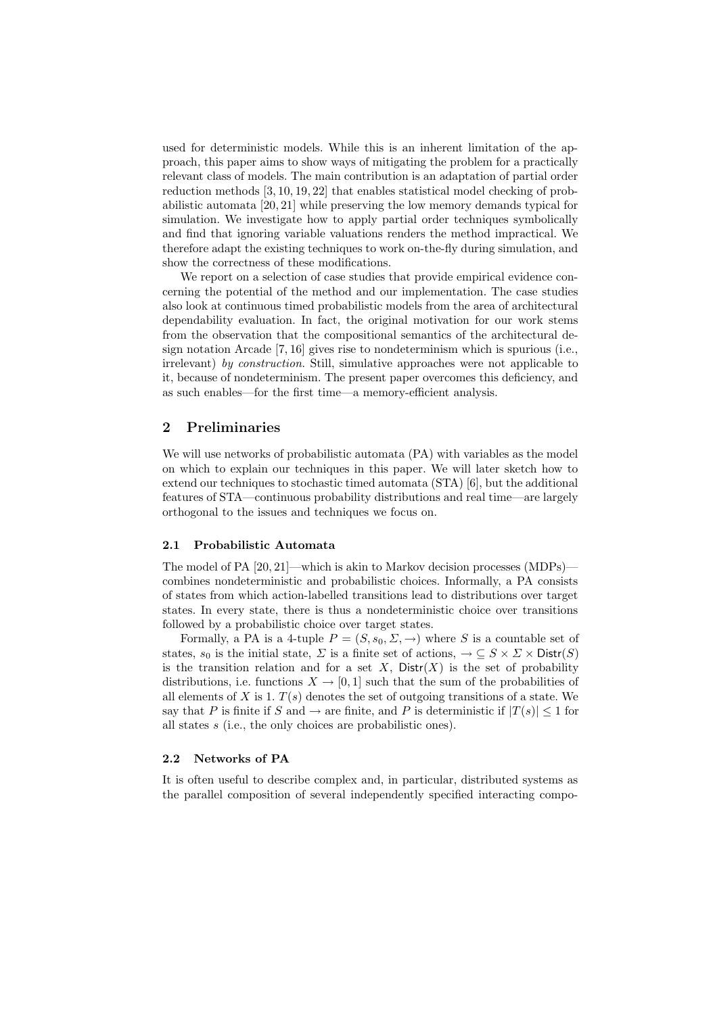used for deterministic models. While this is an inherent limitation of the approach, this paper aims to show ways of mitigating the problem for a practically relevant class of models. The main contribution is an adaptation of partial order reduction methods [3, 10, 19, 22] that enables statistical model checking of probabilistic automata [20, 21] while preserving the low memory demands typical for simulation. We investigate how to apply partial order techniques symbolically and find that ignoring variable valuations renders the method impractical. We therefore adapt the existing techniques to work on-the-fly during simulation, and show the correctness of these modifications.

We report on a selection of case studies that provide empirical evidence concerning the potential of the method and our implementation. The case studies also look at continuous timed probabilistic models from the area of architectural dependability evaluation. In fact, the original motivation for our work stems from the observation that the compositional semantics of the architectural design notation Arcade [7, 16] gives rise to nondeterminism which is spurious (i.e., irrelevant) by construction. Still, simulative approaches were not applicable to it, because of nondeterminism. The present paper overcomes this deficiency, and as such enables—for the first time—a memory-efficient analysis.

# 2 Preliminaries

We will use networks of probabilistic automata (PA) with variables as the model on which to explain our techniques in this paper. We will later sketch how to extend our techniques to stochastic timed automata (STA) [6], but the additional features of STA—continuous probability distributions and real time—are largely orthogonal to the issues and techniques we focus on.

#### 2.1 Probabilistic Automata

The model of PA [20, 21]—which is akin to Markov decision processes (MDPs) combines nondeterministic and probabilistic choices. Informally, a PA consists of states from which action-labelled transitions lead to distributions over target states. In every state, there is thus a nondeterministic choice over transitions followed by a probabilistic choice over target states.

Formally, a PA is a 4-tuple  $P = (S, s_0, \Sigma, \rightarrow)$  where S is a countable set of states,  $s_0$  is the initial state,  $\Sigma$  is a finite set of actions,  $\to \subseteq S \times \Sigma \times \text{Distr}(S)$ is the transition relation and for a set  $X$ ,  $Dist(X)$  is the set of probability distributions, i.e. functions  $X \to [0, 1]$  such that the sum of the probabilities of all elements of X is 1.  $T(s)$  denotes the set of outgoing transitions of a state. We say that P is finite if S and  $\rightarrow$  are finite, and P is deterministic if  $|T(s)| \leq 1$  for all states s (i.e., the only choices are probabilistic ones).

## 2.2 Networks of PA

It is often useful to describe complex and, in particular, distributed systems as the parallel composition of several independently specified interacting compo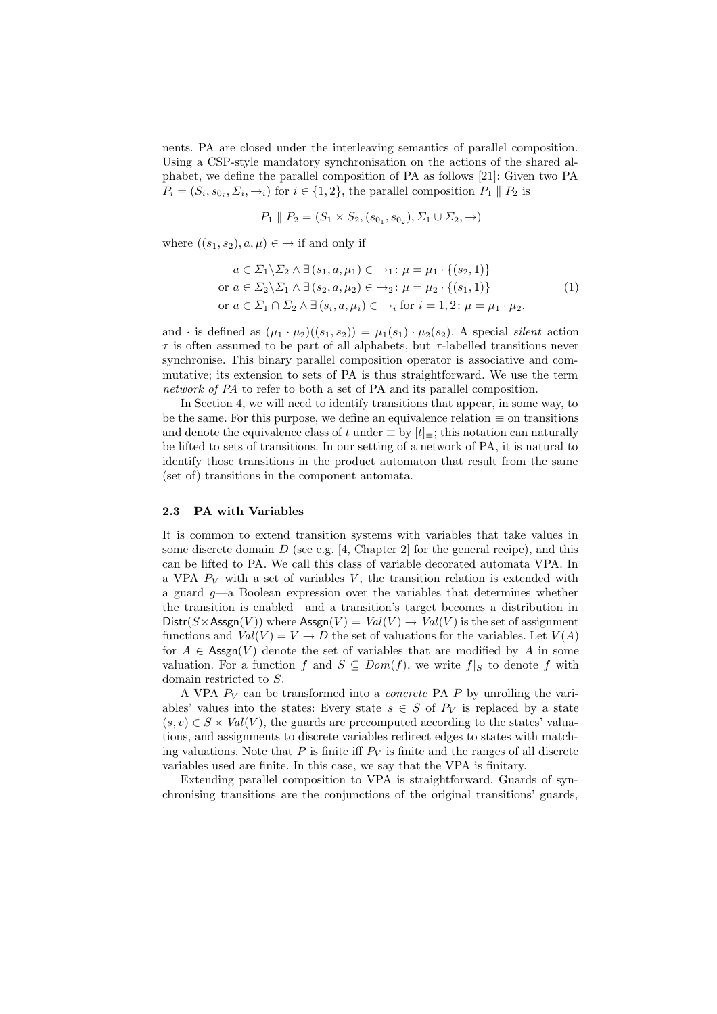nents. PA are closed under the interleaving semantics of parallel composition. Using a CSP-style mandatory synchronisation on the actions of the shared alphabet, we define the parallel composition of PA as follows [21]: Given two PA  $P_i = (S_i, s_{0_i}, \Sigma_i, \rightarrow_i)$  for  $i \in \{1, 2\}$ , the parallel composition  $P_1 \parallel P_2$  is

$$
P_1 \parallel P_2 = (S_1 \times S_2, (s_{0_1}, s_{0_2}), \Sigma_1 \cup \Sigma_2, \rightarrow)
$$

where  $((s_1, s_2), a, \mu) \in \rightarrow \text{if and only if}$ 

$$
a \in \Sigma_1 \setminus \Sigma_2 \land \exists (s_1, a, \mu_1) \in \rightarrow_1 : \mu = \mu_1 \cdot \{(s_2, 1)\}
$$
  
or 
$$
a \in \Sigma_2 \setminus \Sigma_1 \land \exists (s_2, a, \mu_2) \in \rightarrow_2 : \mu = \mu_2 \cdot \{(s_1, 1)\}
$$
  
or 
$$
a \in \Sigma_1 \cap \Sigma_2 \land \exists (s_i, a, \mu_i) \in \rightarrow_i \text{ for } i = 1, 2 : \mu = \mu_1 \cdot \mu_2.
$$
 (1)

and ⋅ is defined as  $(\mu_1 \cdot \mu_2)((s_1, s_2)) = \mu_1(s_1) \cdot \mu_2(s_2)$ . A special silent action  $\tau$  is often assumed to be part of all alphabets, but  $\tau$ -labelled transitions never synchronise. This binary parallel composition operator is associative and commutative; its extension to sets of PA is thus straightforward. We use the term network of PA to refer to both a set of PA and its parallel composition.

In Section 4, we will need to identify transitions that appear, in some way, to be the same. For this purpose, we define an equivalence relation  $\equiv$  on transitions and denote the equivalence class of t under  $\equiv$  by  $[t]=$ ; this notation can naturally be lifted to sets of transitions. In our setting of a network of PA, it is natural to identify those transitions in the product automaton that result from the same (set of) transitions in the component automata.

#### 2.3 PA with Variables

It is common to extend transition systems with variables that take values in some discrete domain  $D$  (see e.g. [4, Chapter 2] for the general recipe), and this can be lifted to PA. We call this class of variable decorated automata VPA. In a VPA  $P_V$  with a set of variables  $V$ , the transition relation is extended with a guard g—a Boolean expression over the variables that determines whether the transition is enabled—and a transition's target becomes a distribution in  $Dist(S \times Assgn(V))$  where  $Assgn(V) = Val(V) \rightarrow Val(V)$  is the set of assignment functions and  $Val(V) = V \rightarrow D$  the set of valuations for the variables. Let  $V(A)$ for  $A \in \text{Assgn}(V)$  denote the set of variables that are modified by A in some valuation. For a function f and  $S \subseteq Dom(f)$ , we write  $f|_S$  to denote f with domain restricted to S.

A VPA  $P_V$  can be transformed into a *concrete* PA  $P$  by unrolling the variables' values into the states: Every state  $s \in S$  of  $P_V$  is replaced by a state  $(s, v) \in S \times Val(V)$ , the guards are precomputed according to the states' valuations, and assignments to discrete variables redirect edges to states with matching valuations. Note that  $P$  is finite iff  $P_V$  is finite and the ranges of all discrete variables used are finite. In this case, we say that the VPA is finitary.

Extending parallel composition to VPA is straightforward. Guards of synchronising transitions are the conjunctions of the original transitions' guards,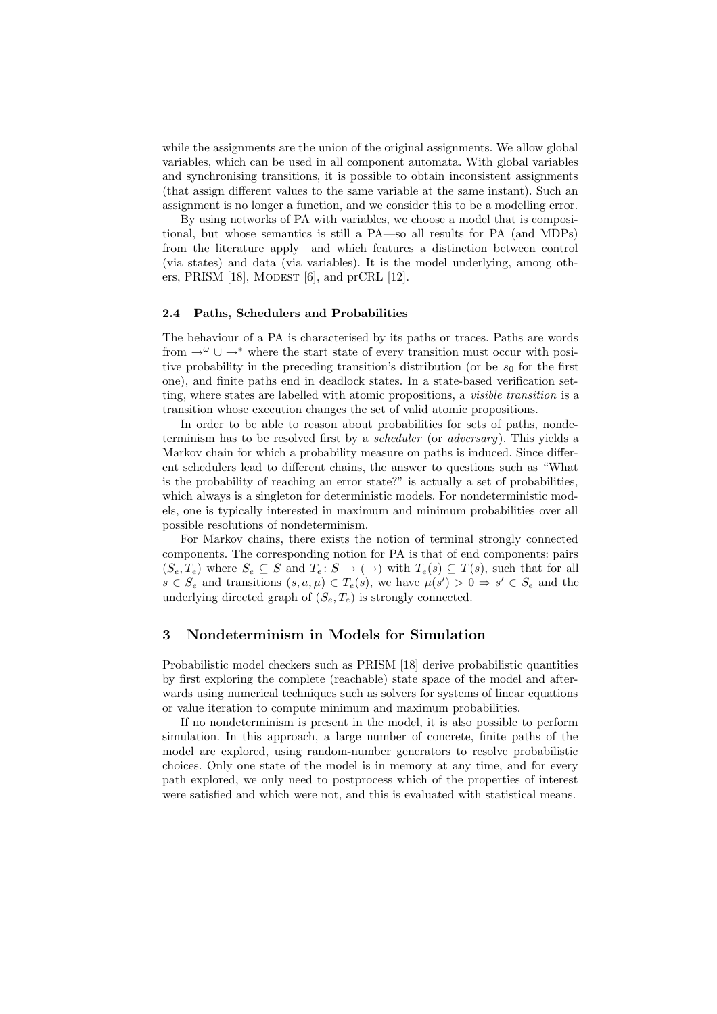while the assignments are the union of the original assignments. We allow global variables, which can be used in all component automata. With global variables and synchronising transitions, it is possible to obtain inconsistent assignments (that assign different values to the same variable at the same instant). Such an assignment is no longer a function, and we consider this to be a modelling error.

By using networks of PA with variables, we choose a model that is compositional, but whose semantics is still a PA—so all results for PA (and MDPs) from the literature apply—and which features a distinction between control (via states) and data (via variables). It is the model underlying, among others, PRISM  $[18]$ , MODEST  $[6]$ , and prCRL  $[12]$ .

#### 2.4 Paths, Schedulers and Probabilities

The behaviour of a PA is characterised by its paths or traces. Paths are words from  $\rightarrow^{\omega}$   $\cup$   $\rightarrow^*$  where the start state of every transition must occur with positive probability in the preceding transition's distribution (or be  $s_0$  for the first one), and finite paths end in deadlock states. In a state-based verification setting, where states are labelled with atomic propositions, a visible transition is a transition whose execution changes the set of valid atomic propositions.

In order to be able to reason about probabilities for sets of paths, nondeterminism has to be resolved first by a scheduler (or adversary). This yields a Markov chain for which a probability measure on paths is induced. Since different schedulers lead to different chains, the answer to questions such as "What is the probability of reaching an error state?" is actually a set of probabilities, which always is a singleton for deterministic models. For nondeterministic models, one is typically interested in maximum and minimum probabilities over all possible resolutions of nondeterminism.

For Markov chains, there exists the notion of terminal strongly connected components. The corresponding notion for PA is that of end components: pairs  $(S_e, T_e)$  where  $S_e \subseteq S$  and  $T_e: S \to (\to)$  with  $T_e(s) \subseteq T(s)$ , such that for all  $s \in S_e$  and transitions  $(s, a, \mu) \in T_e(s)$ , we have  $\mu(s') > 0 \Rightarrow s' \in S_e$  and the underlying directed graph of  $(S_e, T_e)$  is strongly connected.

## 3 Nondeterminism in Models for Simulation

Probabilistic model checkers such as PRISM [18] derive probabilistic quantities by first exploring the complete (reachable) state space of the model and afterwards using numerical techniques such as solvers for systems of linear equations or value iteration to compute minimum and maximum probabilities.

If no nondeterminism is present in the model, it is also possible to perform simulation. In this approach, a large number of concrete, finite paths of the model are explored, using random-number generators to resolve probabilistic choices. Only one state of the model is in memory at any time, and for every path explored, we only need to postprocess which of the properties of interest were satisfied and which were not, and this is evaluated with statistical means.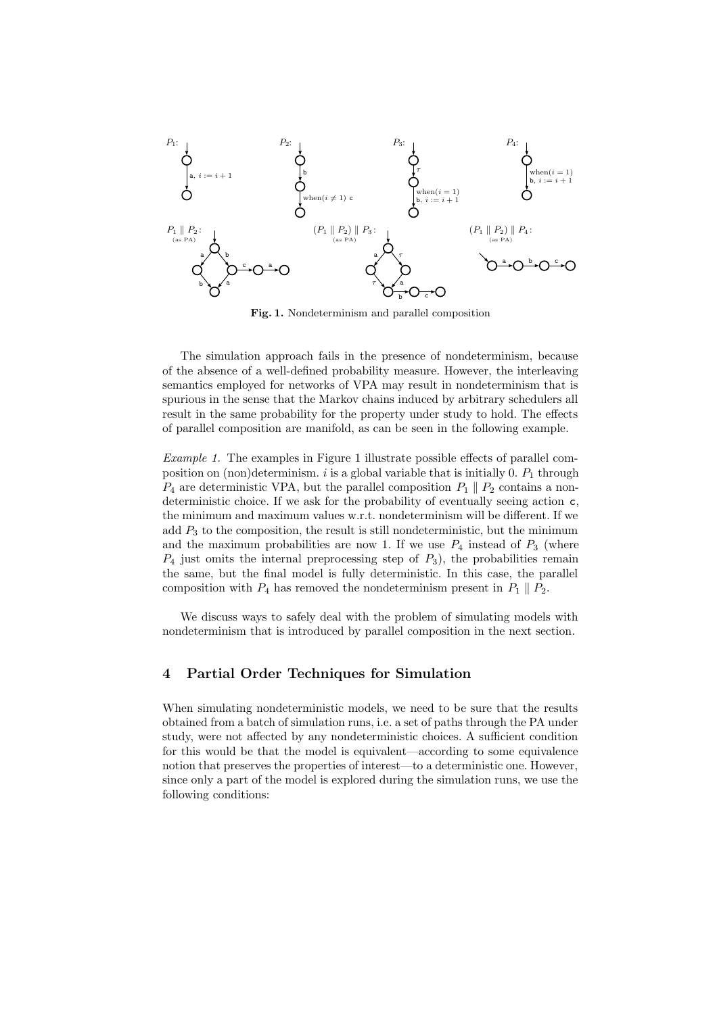

Fig. 1. Nondeterminism and parallel composition

The simulation approach fails in the presence of nondeterminism, because of the absence of a well-defined probability measure. However, the interleaving semantics employed for networks of VPA may result in nondeterminism that is spurious in the sense that the Markov chains induced by arbitrary schedulers all result in the same probability for the property under study to hold. The effects of parallel composition are manifold, as can be seen in the following example.

Example 1. The examples in Figure 1 illustrate possible effects of parallel composition on (non)determinism. i is a global variable that is initially 0.  $P_1$  through  $P_4$  are deterministic VPA, but the parallel composition  $P_1 \parallel P_2$  contains a nondeterministic choice. If we ask for the probability of eventually seeing action c, the minimum and maximum values w.r.t. nondeterminism will be different. If we add  $P_3$  to the composition, the result is still nondeterministic, but the minimum and the maximum probabilities are now 1. If we use  $P_4$  instead of  $P_3$  (where  $P_4$  just omits the internal preprocessing step of  $P_3$ ), the probabilities remain the same, but the final model is fully deterministic. In this case, the parallel composition with  $P_4$  has removed the nondeterminism present in  $P_1 \parallel P_2$ .

We discuss ways to safely deal with the problem of simulating models with nondeterminism that is introduced by parallel composition in the next section.

# 4 Partial Order Techniques for Simulation

When simulating nondeterministic models, we need to be sure that the results obtained from a batch of simulation runs, i.e. a set of paths through the PA under study, were not affected by any nondeterministic choices. A sufficient condition for this would be that the model is equivalent—according to some equivalence notion that preserves the properties of interest—to a deterministic one. However, since only a part of the model is explored during the simulation runs, we use the following conditions: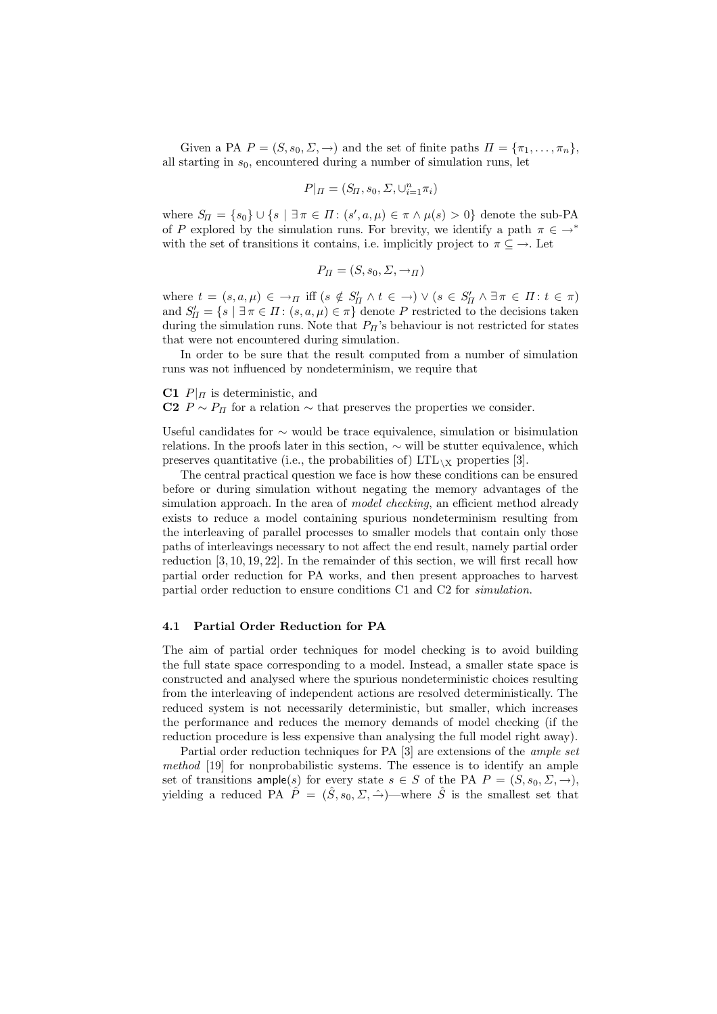Given a PA  $P = (S, s_0, \Sigma, \rightarrow)$  and the set of finite paths  $\Pi = {\pi_1, \dots, \pi_n}$ , all starting in  $s_0$ , encountered during a number of simulation runs, let

$$
P|_{\Pi} = (S_{\Pi}, s_0, \Sigma, \cup_{i=1}^n \pi_i)
$$

where  $S_{\Pi} = \{s_0\} \cup \{s \mid \exists \pi \in \Pi : (s', a, \mu) \in \pi \wedge \mu(s) > 0\}$  denote the sub-PA of P explored by the simulation runs. For brevity, we identify a path  $\pi \in \rightarrow^*$ with the set of transitions it contains, i.e. implicitly project to  $\pi \subseteq \rightarrow$ . Let

$$
P_{\Pi} = (S, s_0, \Sigma, \rightarrow_{\Pi})
$$

where  $t = (s, a, \mu) \in \neg \Pi$  iff  $(s \notin S'_\Pi \land t \in \neg) \lor (s \in S'_\Pi \land \exists \pi \in \Pi : t \in \pi)$ and  $S'_\Pi = \{s \mid \exists \pi \in \Pi : (s, a, \mu) \in \pi\}$  denote P restricted to the decisions taken during the simulation runs. Note that  $P_{\Pi}$ 's behaviour is not restricted for states that were not encountered during simulation.

In order to be sure that the result computed from a number of simulation runs was not influenced by nondeterminism, we require that

#### C1  $P|_{\Pi}$  is deterministic, and

C2  $P \sim P_{\Pi}$  for a relation  $\sim$  that preserves the properties we consider.

Useful candidates for  $\sim$  would be trace equivalence, simulation or bisimulation relations. In the proofs later in this section,  $\sim$  will be stutter equivalence, which preserves quantitative (i.e., the probabilities of)  $LTL_{\X}$  properties [3].

The central practical question we face is how these conditions can be ensured before or during simulation without negating the memory advantages of the simulation approach. In the area of *model checking*, an efficient method already exists to reduce a model containing spurious nondeterminism resulting from the interleaving of parallel processes to smaller models that contain only those paths of interleavings necessary to not affect the end result, namely partial order reduction [3, 10, 19, 22]. In the remainder of this section, we will first recall how partial order reduction for PA works, and then present approaches to harvest partial order reduction to ensure conditions C1 and C2 for simulation.

## 4.1 Partial Order Reduction for PA

The aim of partial order techniques for model checking is to avoid building the full state space corresponding to a model. Instead, a smaller state space is constructed and analysed where the spurious nondeterministic choices resulting from the interleaving of independent actions are resolved deterministically. The reduced system is not necessarily deterministic, but smaller, which increases the performance and reduces the memory demands of model checking (if the reduction procedure is less expensive than analysing the full model right away).

Partial order reduction techniques for PA [3] are extensions of the ample set method [19] for nonprobabilistic systems. The essence is to identify an ample set of transitions ample(s) for every state  $s \in S$  of the PA  $P = (S, s_0, \Sigma, \rightarrow)$ , yielding a reduced PA  $\hat{P} = (\hat{S}, s_0, \Sigma, \hat{\rightarrow})$  where  $\hat{S}$  is the smallest set that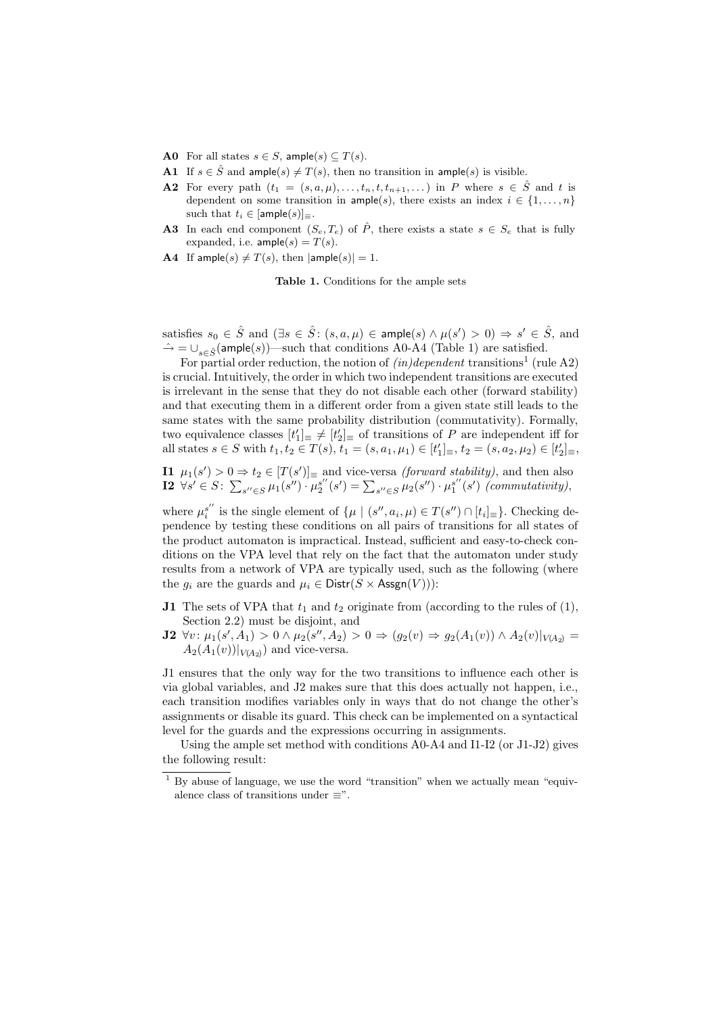- A0 For all states  $s \in S$ , ample $(s) \subseteq T(s)$ .
- A1 If  $s \in \hat{S}$  and ample(s)  $\neq T(s)$ , then no transition in ample(s) is visible.
- **A2** For every path  $(t_1 = (s, a, \mu), \ldots, t_n, t, t_{n+1}, \ldots)$  in P where  $s \in \hat{S}$  and t is dependent on some transition in  $\text{ample}(s)$ , there exists an index  $i \in \{1, ..., n\}$ such that  $t_i \in [ample(s)]_{\equiv}$ .
- **A3** In each end component  $(S_e, T_e)$  of  $\hat{P}$ , there exists a state  $s \in S_e$  that is fully expanded, i.e.  $\text{ample}(s) = T(s)$ .
- **A4** If ample(s)  $\neq T(s)$ , then  $|\text{ample}(s)| = 1$ .

Table 1. Conditions for the ample sets

satisfies  $s_0 \in \hat{S}$  and  $(\exists s \in \hat{S}: (s, a, \mu) \in \text{ample}(s) \land \mu(s') > 0) \Rightarrow s' \in \hat{S}$ , and  $\hat{\rightarrow} = \bigcup_{s \in \hat{S}}(\text{ample}(s))$ —such that conditions A0-A4 (Table 1) are satisfied.

For partial order reduction, the notion of  $(in) dependent$  transitions<sup>1</sup> (rule A2) is crucial. Intuitively, the order in which two independent transitions are executed is irrelevant in the sense that they do not disable each other (forward stability) and that executing them in a different order from a given state still leads to the same states with the same probability distribution (commutativity). Formally, two equivalence classes  $[t'_1]_\equiv \neq [t'_2]_\equiv$  of transitions of P are independent iff for all states  $s \in S$  with  $t_1, t_2 \in T(s), t_1 = (s, a_1, \mu_1) \in [t'_1]_{\equiv}, t_2 = (s, a_2, \mu_2) \in [t'_2]_{\equiv},$ 

 $\textbf{I1}$   $\mu_1(s') > 0 \Rightarrow t_2 \in [T(s')]$  and vice-versa *(forward stability)*, and then also **I2** ∀s' ∈ S:  $\sum_{s'' \in S} \mu_1(s'') \cdot \mu_2^{s''}(s') = \sum_{s'' \in S} \mu_2(s'') \cdot \mu_1^{s''}(s')$  (commutativity),

where  $\mu_i^{s''}$  is the single element of  $\{\mu \mid (s'', a_i, \mu) \in T(s'') \cap [t_i]_{\equiv}\}.$  Checking dependence by testing these conditions on all pairs of transitions for all states of the product automaton is impractical. Instead, sufficient and easy-to-check conditions on the VPA level that rely on the fact that the automaton under study results from a network of VPA are typically used, such as the following (where the  $g_i$  are the guards and  $\mu_i \in \text{Distr}(S \times \text{Assgn}(V))$ :

- **J1** The sets of VPA that  $t_1$  and  $t_2$  originate from (according to the rules of  $(1)$ , Section 2.2) must be disjoint, and
- **J2**  $\forall v: \mu_1(s', A_1) > 0 \land \mu_2(s'', A_2) > 0 \Rightarrow (g_2(v) \Rightarrow g_2(A_1(v)) \land A_2(v)|_{V(A_2)} =$  $A_2(A_1(v))|_{V(A_2)}$  and vice-versa.

J1 ensures that the only way for the two transitions to influence each other is via global variables, and J2 makes sure that this does actually not happen, i.e., each transition modifies variables only in ways that do not change the other's assignments or disable its guard. This check can be implemented on a syntactical level for the guards and the expressions occurring in assignments.

Using the ample set method with conditions A0-A4 and I1-I2 (or J1-J2) gives the following result:

<sup>1</sup> By abuse of language, we use the word "transition" when we actually mean "equivalence class of transitions under  $\equiv$ ".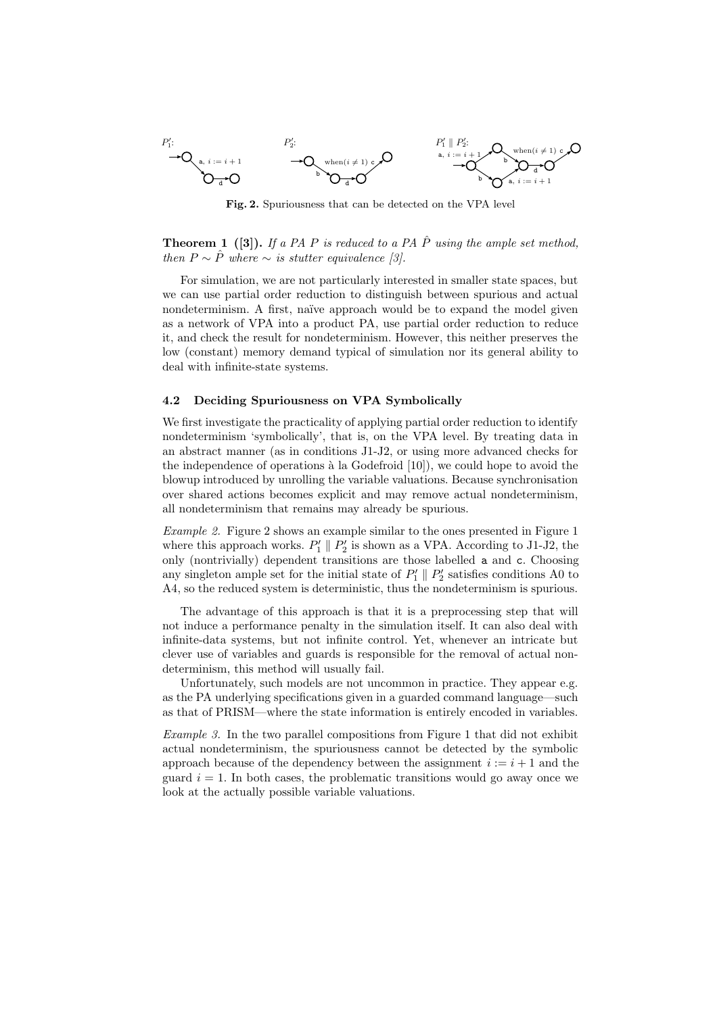

Fig. 2. Spuriousness that can be detected on the VPA level

**Theorem 1** ([3]). If a PA P is reduced to a PA  $\hat{P}$  using the ample set method, then  $P \sim \hat{P}$  where  $\sim$  is stutter equivalence [3].

For simulation, we are not particularly interested in smaller state spaces, but we can use partial order reduction to distinguish between spurious and actual nondeterminism. A first, naïve approach would be to expand the model given as a network of VPA into a product PA, use partial order reduction to reduce it, and check the result for nondeterminism. However, this neither preserves the low (constant) memory demand typical of simulation nor its general ability to deal with infinite-state systems.

#### 4.2 Deciding Spuriousness on VPA Symbolically

We first investigate the practicality of applying partial order reduction to identify nondeterminism 'symbolically', that is, on the VPA level. By treating data in an abstract manner (as in conditions J1-J2, or using more advanced checks for the independence of operations  $\hat{a}$  la Godefroid  $[10]$ , we could hope to avoid the blowup introduced by unrolling the variable valuations. Because synchronisation over shared actions becomes explicit and may remove actual nondeterminism, all nondeterminism that remains may already be spurious.

Example 2. Figure 2 shows an example similar to the ones presented in Figure 1 where this approach works.  $P'_1 \parallel P'_2$  is shown as a VPA. According to J1-J2, the only (nontrivially) dependent transitions are those labelled a and c. Choosing any singleton ample set for the initial state of  $P'_1 \parallel P'_2$  satisfies conditions A0 to A4, so the reduced system is deterministic, thus the nondeterminism is spurious.

The advantage of this approach is that it is a preprocessing step that will not induce a performance penalty in the simulation itself. It can also deal with infinite-data systems, but not infinite control. Yet, whenever an intricate but clever use of variables and guards is responsible for the removal of actual nondeterminism, this method will usually fail.

Unfortunately, such models are not uncommon in practice. They appear e.g. as the PA underlying specifications given in a guarded command language—such as that of PRISM—where the state information is entirely encoded in variables.

Example 3. In the two parallel compositions from Figure 1 that did not exhibit actual nondeterminism, the spuriousness cannot be detected by the symbolic approach because of the dependency between the assignment  $i := i + 1$  and the guard  $i = 1$ . In both cases, the problematic transitions would go away once we look at the actually possible variable valuations.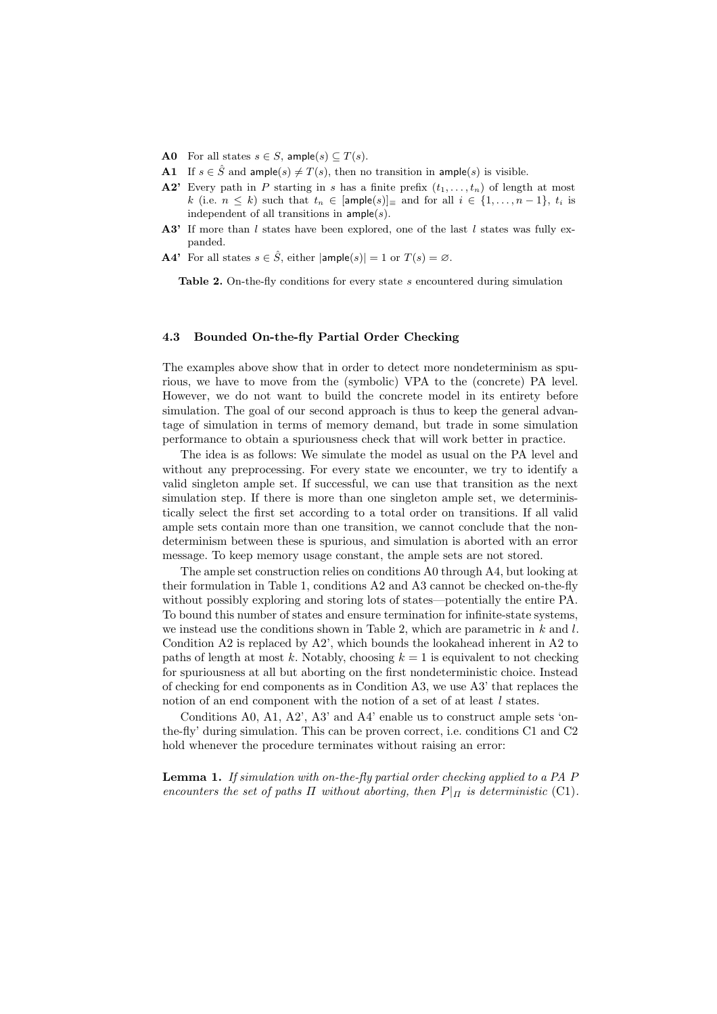- A0 For all states  $s \in S$ , ample $(s) \subseteq T(s)$ .
- A1 If  $s \in \hat{S}$  and ample(s)  $\neq T(s)$ , then no transition in ample(s) is visible.
- A2' Every path in P starting in s has a finite prefix  $(t_1, \ldots, t_n)$  of length at most k (i.e.  $n \leq k$ ) such that  $t_n \in \text{[ample}(s)]_{\equiv}$  and for all  $i \in \{1, \ldots, n-1\}, t_i$  is independent of all transitions in  $\mathsf{ample}(s)$ .
- A3' If more than  $l$  states have been explored, one of the last  $l$  states was fully expanded.
- **A4'** For all states  $s \in \hat{S}$ , either  $|\text{ample}(s)| = 1$  or  $T(s) = \emptyset$ .

Table 2. On-the-fly conditions for every state s encountered during simulation

#### 4.3 Bounded On-the-fly Partial Order Checking

The examples above show that in order to detect more nondeterminism as spurious, we have to move from the (symbolic) VPA to the (concrete) PA level. However, we do not want to build the concrete model in its entirety before simulation. The goal of our second approach is thus to keep the general advantage of simulation in terms of memory demand, but trade in some simulation performance to obtain a spuriousness check that will work better in practice.

The idea is as follows: We simulate the model as usual on the PA level and without any preprocessing. For every state we encounter, we try to identify a valid singleton ample set. If successful, we can use that transition as the next simulation step. If there is more than one singleton ample set, we deterministically select the first set according to a total order on transitions. If all valid ample sets contain more than one transition, we cannot conclude that the nondeterminism between these is spurious, and simulation is aborted with an error message. To keep memory usage constant, the ample sets are not stored.

The ample set construction relies on conditions A0 through A4, but looking at their formulation in Table 1, conditions A2 and A3 cannot be checked on-the-fly without possibly exploring and storing lots of states—potentially the entire PA. To bound this number of states and ensure termination for infinite-state systems, we instead use the conditions shown in Table 2, which are parametric in  $k$  and  $l$ . Condition A2 is replaced by A2', which bounds the lookahead inherent in A2 to paths of length at most k. Notably, choosing  $k = 1$  is equivalent to not checking for spuriousness at all but aborting on the first nondeterministic choice. Instead of checking for end components as in Condition A3, we use A3' that replaces the notion of an end component with the notion of a set of at least l states.

Conditions A0, A1, A2', A3' and A4' enable us to construct ample sets 'onthe-fly' during simulation. This can be proven correct, i.e. conditions C1 and C2 hold whenever the procedure terminates without raising an error:

Lemma 1. If simulation with on-the-fly partial order checking applied to a PA P encounters the set of paths  $\Pi$  without aborting, then  $P|_{\Pi}$  is deterministic (C1).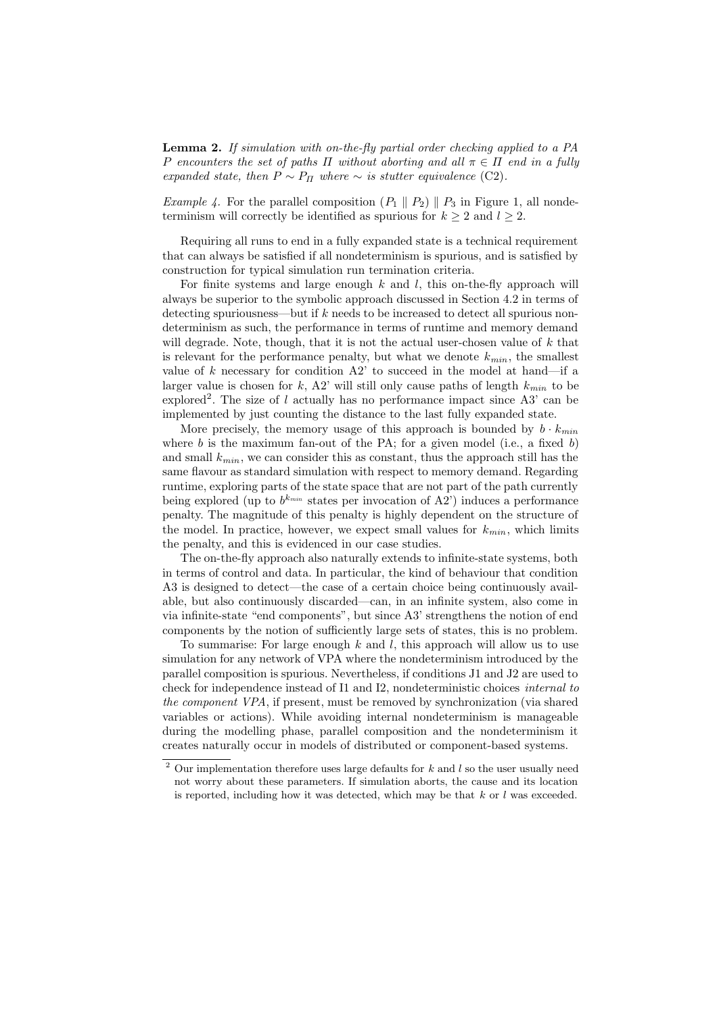Lemma 2. If simulation with on-the-fly partial order checking applied to a PA P encounters the set of paths  $\Pi$  without aborting and all  $\pi \in \Pi$  end in a fully expanded state, then  $P \sim P_{\Pi}$  where  $\sim$  is stutter equivalence (C2).

*Example 4.* For the parallel composition  $(P_1 \parallel P_2) \parallel P_3$  in Figure 1, all nondeterminism will correctly be identified as spurious for  $k \geq 2$  and  $l \geq 2$ .

Requiring all runs to end in a fully expanded state is a technical requirement that can always be satisfied if all nondeterminism is spurious, and is satisfied by construction for typical simulation run termination criteria.

For finite systems and large enough  $k$  and  $l$ , this on-the-fly approach will always be superior to the symbolic approach discussed in Section 4.2 in terms of detecting spuriousness—but if k needs to be increased to detect all spurious nondeterminism as such, the performance in terms of runtime and memory demand will degrade. Note, though, that it is not the actual user-chosen value of  $k$  that is relevant for the performance penalty, but what we denote  $k_{min}$ , the smallest value of k necessary for condition  $A2'$  to succeed in the model at hand—if a larger value is chosen for k, A2' will still only cause paths of length  $k_{min}$  to be explored<sup>2</sup>. The size of l actually has no performance impact since A3' can be implemented by just counting the distance to the last fully expanded state.

More precisely, the memory usage of this approach is bounded by  $b \cdot k_{min}$ where  $b$  is the maximum fan-out of the PA; for a given model (i.e., a fixed  $b$ ) and small  $k_{min}$ , we can consider this as constant, thus the approach still has the same flavour as standard simulation with respect to memory demand. Regarding runtime, exploring parts of the state space that are not part of the path currently being explored (up to  $b^{k_{min}}$  states per invocation of A2') induces a performance penalty. The magnitude of this penalty is highly dependent on the structure of the model. In practice, however, we expect small values for  $k_{min}$ , which limits the penalty, and this is evidenced in our case studies.

The on-the-fly approach also naturally extends to infinite-state systems, both in terms of control and data. In particular, the kind of behaviour that condition A3 is designed to detect—the case of a certain choice being continuously available, but also continuously discarded—can, in an infinite system, also come in via infinite-state "end components", but since A3' strengthens the notion of end components by the notion of sufficiently large sets of states, this is no problem.

To summarise: For large enough  $k$  and  $l$ , this approach will allow us to use simulation for any network of VPA where the nondeterminism introduced by the parallel composition is spurious. Nevertheless, if conditions J1 and J2 are used to check for independence instead of I1 and I2, nondeterministic choices internal to the component VPA, if present, must be removed by synchronization (via shared variables or actions). While avoiding internal nondeterminism is manageable during the modelling phase, parallel composition and the nondeterminism it creates naturally occur in models of distributed or component-based systems.

 $2$  Our implementation therefore uses large defaults for k and l so the user usually need not worry about these parameters. If simulation aborts, the cause and its location is reported, including how it was detected, which may be that  $k$  or  $l$  was exceeded.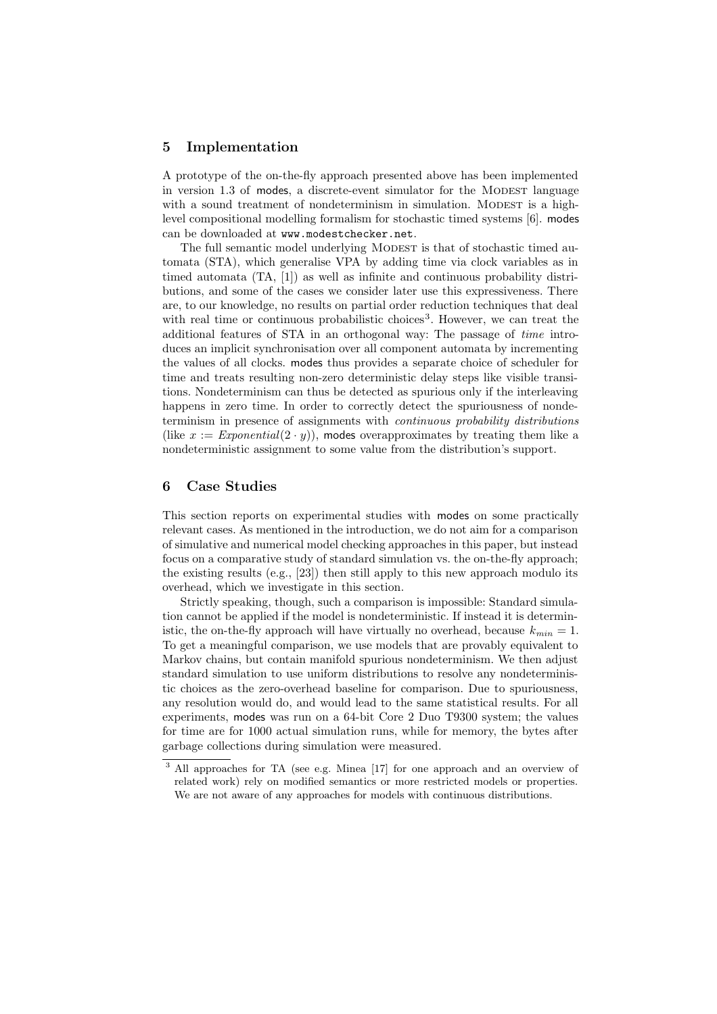# 5 Implementation

A prototype of the on-the-fly approach presented above has been implemented in version 1.3 of modes, a discrete-event simulator for the MODEST language with a sound treatment of nondeterminism in simulation. MODEST is a highlevel compositional modelling formalism for stochastic timed systems [6]. modes can be downloaded at www.modestchecker.net.

The full semantic model underlying MODEST is that of stochastic timed automata (STA), which generalise VPA by adding time via clock variables as in timed automata (TA, [1]) as well as infinite and continuous probability distributions, and some of the cases we consider later use this expressiveness. There are, to our knowledge, no results on partial order reduction techniques that deal with real time or continuous probabilistic choices<sup>3</sup>. However, we can treat the additional features of STA in an orthogonal way: The passage of time introduces an implicit synchronisation over all component automata by incrementing the values of all clocks. modes thus provides a separate choice of scheduler for time and treats resulting non-zero deterministic delay steps like visible transitions. Nondeterminism can thus be detected as spurious only if the interleaving happens in zero time. In order to correctly detect the spuriousness of nondeterminism in presence of assignments with continuous probability distributions (like  $x := Exponential(2 \cdot y)$ ), modes overapproximates by treating them like a nondeterministic assignment to some value from the distribution's support.

# 6 Case Studies

This section reports on experimental studies with modes on some practically relevant cases. As mentioned in the introduction, we do not aim for a comparison of simulative and numerical model checking approaches in this paper, but instead focus on a comparative study of standard simulation vs. the on-the-fly approach; the existing results (e.g.,  $[23]$ ) then still apply to this new approach modulo its overhead, which we investigate in this section.

Strictly speaking, though, such a comparison is impossible: Standard simulation cannot be applied if the model is nondeterministic. If instead it is deterministic, the on-the-fly approach will have virtually no overhead, because  $k_{min} = 1$ . To get a meaningful comparison, we use models that are provably equivalent to Markov chains, but contain manifold spurious nondeterminism. We then adjust standard simulation to use uniform distributions to resolve any nondeterministic choices as the zero-overhead baseline for comparison. Due to spuriousness, any resolution would do, and would lead to the same statistical results. For all experiments, modes was run on a 64-bit Core 2 Duo T9300 system; the values for time are for 1000 actual simulation runs, while for memory, the bytes after garbage collections during simulation were measured.

<sup>3</sup> All approaches for TA (see e.g. Minea [17] for one approach and an overview of related work) rely on modified semantics or more restricted models or properties. We are not aware of any approaches for models with continuous distributions.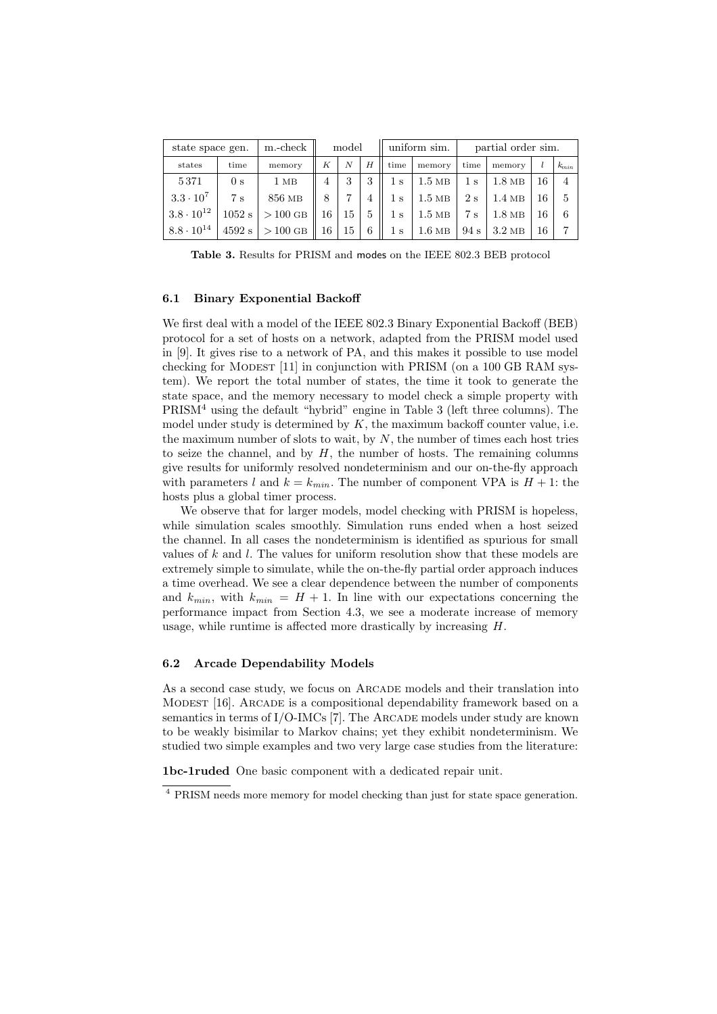| state space gen.     |                | m.-check       | model |                  | uniform sim. |               | partial order sim. |                |                    |    |                |
|----------------------|----------------|----------------|-------|------------------|--------------|---------------|--------------------|----------------|--------------------|----|----------------|
| states               | time           | memory         | K     | $\boldsymbol{N}$ | H            | time          | memory             | time           | memory             |    | $k_{min}$      |
| 5371                 | 0 <sub>s</sub> | $1 \text{ MB}$ | 4     | 3                | 3            | $1\mathrm{s}$ | $1.5\;\mathrm{MB}$ | 1 <sub>s</sub> | $1.8\;\mathrm{MB}$ | 16 | $\overline{4}$ |
| $3.3 \cdot 10^{7}$   | 7s             | 856 MB         | 8     |                  | 4            | 1 s           | $1.5\;\mathrm{MB}$ | 2s             | $1.4\;\mathrm{MB}$ | 16 | 5              |
| $3.8 \cdot 10^{12}$  | $1052$ s       | $>100$ GB      | 16    | 15               | 5            | 1 s           | $1.5$ MB           | 7s             | $1.8\;\mathrm{MB}$ | 16 | 6              |
| $18.8 \cdot 10^{14}$ | 4592 s         | $>100$ GB      | 16    | 15               | 6            | $1\mathrm{s}$ | $1.6\;\mathrm{MB}$ | 94 s           | 3.2 <sub>MB</sub>  | 16 | 7              |

Table 3. Results for PRISM and modes on the IEEE 802.3 BEB protocol

#### 6.1 Binary Exponential Backoff

We first deal with a model of the IEEE 802.3 Binary Exponential Backoff (BEB) protocol for a set of hosts on a network, adapted from the PRISM model used in [9]. It gives rise to a network of PA, and this makes it possible to use model checking for Modest [11] in conjunction with PRISM (on a 100 GB RAM system). We report the total number of states, the time it took to generate the state space, and the memory necessary to model check a simple property with PRISM<sup>4</sup> using the default "hybrid" engine in Table 3 (left three columns). The model under study is determined by  $K$ , the maximum backoff counter value, i.e. the maximum number of slots to wait, by  $N$ , the number of times each host tries to seize the channel, and by  $H$ , the number of hosts. The remaining columns give results for uniformly resolved nondeterminism and our on-the-fly approach with parameters l and  $k = k_{min}$ . The number of component VPA is  $H + 1$ : the hosts plus a global timer process.

We observe that for larger models, model checking with PRISM is hopeless. while simulation scales smoothly. Simulation runs ended when a host seized the channel. In all cases the nondeterminism is identified as spurious for small values of  $k$  and  $l$ . The values for uniform resolution show that these models are extremely simple to simulate, while the on-the-fly partial order approach induces a time overhead. We see a clear dependence between the number of components and  $k_{min}$ , with  $k_{min} = H + 1$ . In line with our expectations concerning the performance impact from Section 4.3, we see a moderate increase of memory usage, while runtime is affected more drastically by increasing  $H$ .

# 6.2 Arcade Dependability Models

As a second case study, we focus on ARCADE models and their translation into MODEST [16]. ARCADE is a compositional dependability framework based on a semantics in terms of I/O-IMCs [7]. The ARCADE models under study are known to be weakly bisimilar to Markov chains; yet they exhibit nondeterminism. We studied two simple examples and two very large case studies from the literature:

1bc-1ruded One basic component with a dedicated repair unit.

<sup>4</sup> PRISM needs more memory for model checking than just for state space generation.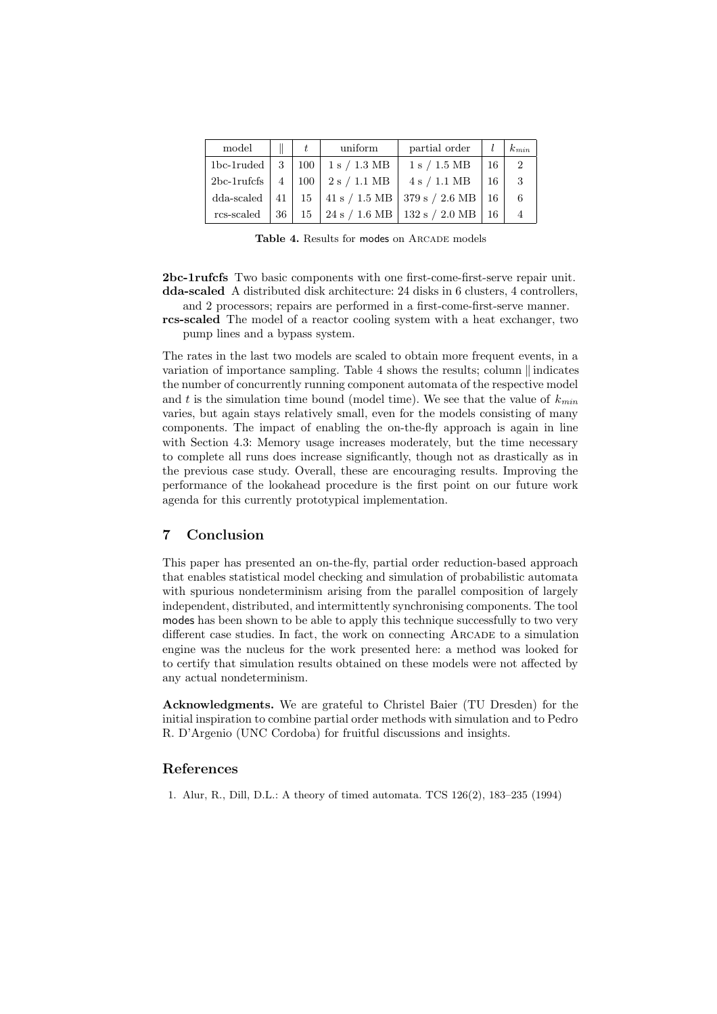| model | $\mathbb{L}$ | $\begin{array}{cc} & t \\ \end{array}$ | uniform                                            | partial order $\vert l \vert k_{min}$                      |                |                |
|-------|--------------|----------------------------------------|----------------------------------------------------|------------------------------------------------------------|----------------|----------------|
|       |              |                                        | 1bc-1ruded   3   100   1 s $/ 1.3 \text{ MB}$      | 1 s / 1.5 MB                                               | $\frac{1}{16}$ | $\overline{2}$ |
|       |              |                                        | 2bc-1rufefs $\vert 4 \vert 100 \vert 2 s / 1.1 MB$ | $4 s / 1.1 MB$ 16                                          |                |                |
|       |              |                                        |                                                    | dda-scaled   41   15   41 s / 1.5 MB   379 s / 2.6 MB   16 |                |                |
|       |              |                                        |                                                    | rcs-scaled   36   15   24 s / 1.6 MB   132 s / 2.0 MB   16 |                |                |

Table 4. Results for modes on ARCADE models

2bc-1rufcfs Two basic components with one first-come-first-serve repair unit. dda-scaled A distributed disk architecture: 24 disks in 6 clusters, 4 controllers,

and 2 processors; repairs are performed in a first-come-first-serve manner. rcs-scaled The model of a reactor cooling system with a heat exchanger, two pump lines and a bypass system.

The rates in the last two models are scaled to obtain more frequent events, in a variation of importance sampling. Table 4 shows the results; column  $\|$  indicates the number of concurrently running component automata of the respective model and t is the simulation time bound (model time). We see that the value of  $k_{min}$ varies, but again stays relatively small, even for the models consisting of many components. The impact of enabling the on-the-fly approach is again in line with Section 4.3: Memory usage increases moderately, but the time necessary to complete all runs does increase significantly, though not as drastically as in the previous case study. Overall, these are encouraging results. Improving the performance of the lookahead procedure is the first point on our future work agenda for this currently prototypical implementation.

# 7 Conclusion

This paper has presented an on-the-fly, partial order reduction-based approach that enables statistical model checking and simulation of probabilistic automata with spurious nondeterminism arising from the parallel composition of largely independent, distributed, and intermittently synchronising components. The tool modes has been shown to be able to apply this technique successfully to two very different case studies. In fact, the work on connecting ARCADE to a simulation engine was the nucleus for the work presented here: a method was looked for to certify that simulation results obtained on these models were not affected by any actual nondeterminism.

Acknowledgments. We are grateful to Christel Baier (TU Dresden) for the initial inspiration to combine partial order methods with simulation and to Pedro R. D'Argenio (UNC Cordoba) for fruitful discussions and insights.

## References

1. Alur, R., Dill, D.L.: A theory of timed automata. TCS 126(2), 183–235 (1994)